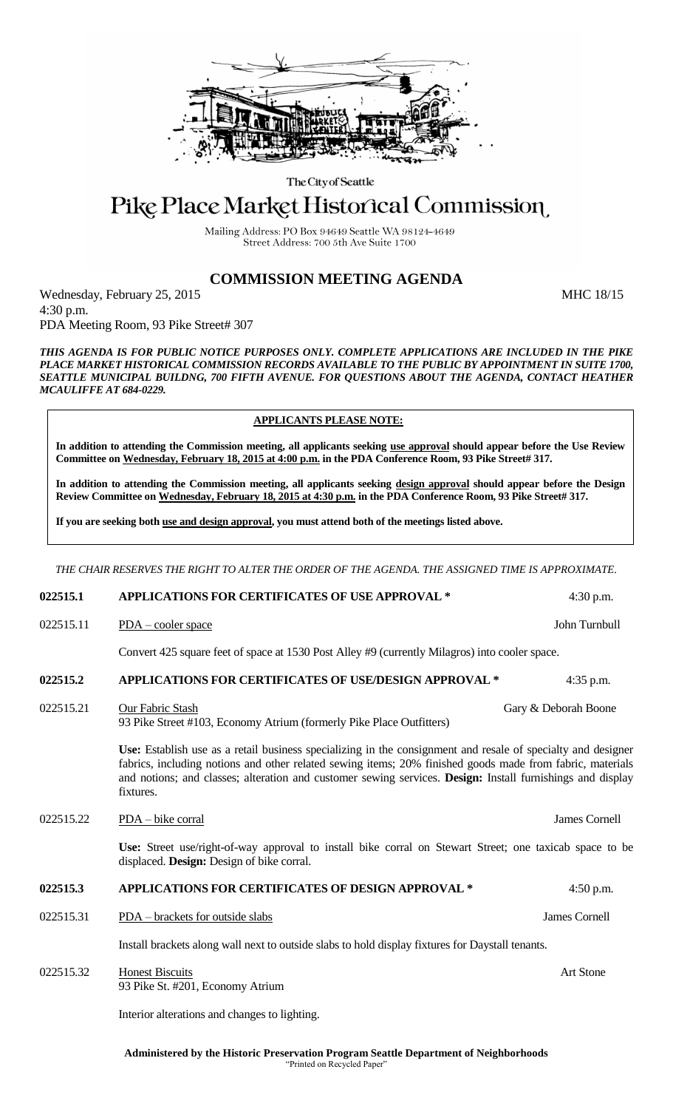

The City of Seattle

# Pike Place Market Historical Commission

Mailing Address: PO Box 94649 Seattle WA 98124-4649 Street Address: 700 5th Ave Suite 1700

# **COMMISSION MEETING AGENDA**

Wednesday, February 25, 2015 MHC 18/15 4:30 p.m. PDA Meeting Room, 93 Pike Street# 307

*THIS AGENDA IS FOR PUBLIC NOTICE PURPOSES ONLY. COMPLETE APPLICATIONS ARE INCLUDED IN THE PIKE PLACE MARKET HISTORICAL COMMISSION RECORDS AVAILABLE TO THE PUBLIC BY APPOINTMENT IN SUITE 1700, SEATTLE MUNICIPAL BUILDNG, 700 FIFTH AVENUE. FOR QUESTIONS ABOUT THE AGENDA, CONTACT HEATHER MCAULIFFE AT 684-0229.*

# **APPLICANTS PLEASE NOTE:**

**In addition to attending the Commission meeting, all applicants seeking use approval should appear before the Use Review Committee on Wednesday, February 18, 2015 at 4:00 p.m. in the PDA Conference Room, 93 Pike Street# 317.**

**In addition to attending the Commission meeting, all applicants seeking design approval should appear before the Design Review Committee on Wednesday, February 18, 2015 at 4:30 p.m. in the PDA Conference Room, 93 Pike Street# 317.** 

**If you are seeking both use and design approval, you must attend both of the meetings listed above.**

*THE CHAIR RESERVES THE RIGHT TO ALTER THE ORDER OF THE AGENDA. THE ASSIGNED TIME IS APPROXIMATE.*

### **022515.1 APPLICATIONS FOR CERTIFICATES OF USE APPROVAL \*** 4:30 p.m.

022515.11 PDA – cooler space John Turnbull and the USA state John Turnbull John Turnbull and the USA state John Turnbull and the USA state John Turnbull and the USA state John Turnbull and the USA state John Turnbull and t

Convert 425 square feet of space at 1530 Post Alley #9 (currently Milagros) into cooler space.

### **022515.2 APPLICATIONS FOR CERTIFICATES OF USE/DESIGN APPROVAL \*** 4:35 p.m.

022515.21 Our Fabric Stash Gary & Deborah Boone 93 Pike Street #103, Economy Atrium (formerly Pike Place Outfitters)

> **Use:** Establish use as a retail business specializing in the consignment and resale of specialty and designer fabrics, including notions and other related sewing items; 20% finished goods made from fabric, materials and notions; and classes; alteration and customer sewing services. **Design:** Install furnishings and display fixtures.

022515.22 PDA – bike corral James Cornell

**Use:** Street use/right-of-way approval to install bike corral on Stewart Street; one taxicab space to be displaced. **Design:** Design of bike corral.

#### **022515.3 APPLICATIONS FOR CERTIFICATES OF DESIGN APPROVAL \*** 4:50 p.m.

022515.31 PDA – brackets for outside slabs James Cornell

Install brackets along wall next to outside slabs to hold display fixtures for Daystall tenants.

022515.32 Honest Biscuits Art Stone 93 Pike St. #201, Economy Atrium

Interior alterations and changes to lighting.